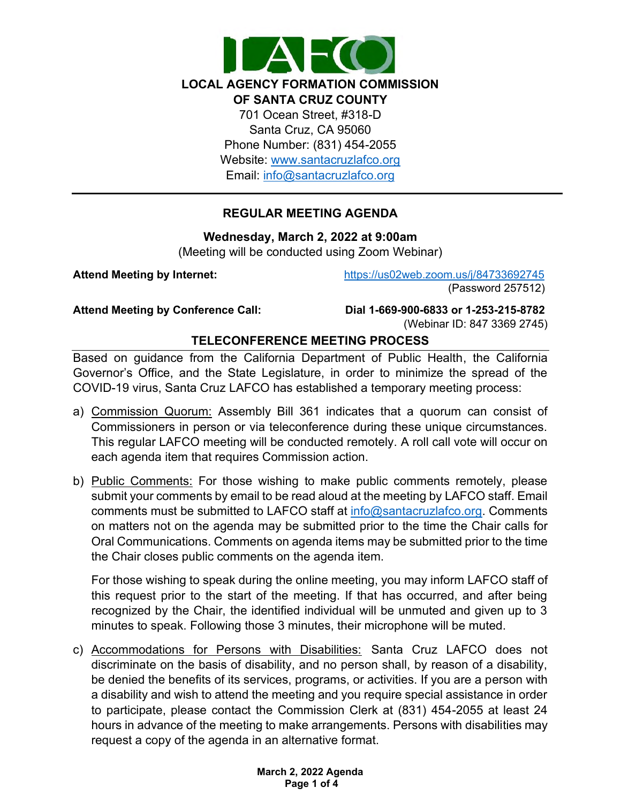

# **REGULAR MEETING AGENDA**

**Wednesday, March 2, 2022 at 9:00am**

(Meeting will be conducted using Zoom Webinar)

**Attend Meeting by Internet:** <https://us02web.zoom.us/j/84733692745> (Password 257512)

**Attend Meeting by Conference Call: Dial 1-669-900-6833 or 1-253-215-8782**  (Webinar ID: 847 3369 2745)

# **TELECONFERENCE MEETING PROCESS**

Based on guidance from the California Department of Public Health, the California Governor's Office, and the State Legislature, in order to minimize the spread of the COVID-19 virus, Santa Cruz LAFCO has established a temporary meeting process:

- a) Commission Quorum: Assembly Bill 361 indicates that a quorum can consist of Commissioners in person or via teleconference during these unique circumstances. This regular LAFCO meeting will be conducted remotely. A roll call vote will occur on each agenda item that requires Commission action.
- b) Public Comments: For those wishing to make public comments remotely, please submit your comments by email to be read aloud at the meeting by LAFCO staff. Email comments must be submitted to LAFCO staff at [info@santacruzlafco.org.](mailto:info@santacruzlafco.org) Comments on matters not on the agenda may be submitted prior to the time the Chair calls for Oral Communications. Comments on agenda items may be submitted prior to the time the Chair closes public comments on the agenda item.

For those wishing to speak during the online meeting, you may inform LAFCO staff of this request prior to the start of the meeting. If that has occurred, and after being recognized by the Chair, the identified individual will be unmuted and given up to 3 minutes to speak. Following those 3 minutes, their microphone will be muted.

c) Accommodations for Persons with Disabilities: Santa Cruz LAFCO does not discriminate on the basis of disability, and no person shall, by reason of a disability, be denied the benefits of its services, programs, or activities. If you are a person with a disability and wish to attend the meeting and you require special assistance in order to participate, please contact the Commission Clerk at (831) 454-2055 at least 24 hours in advance of the meeting to make arrangements. Persons with disabilities may request a copy of the agenda in an alternative format.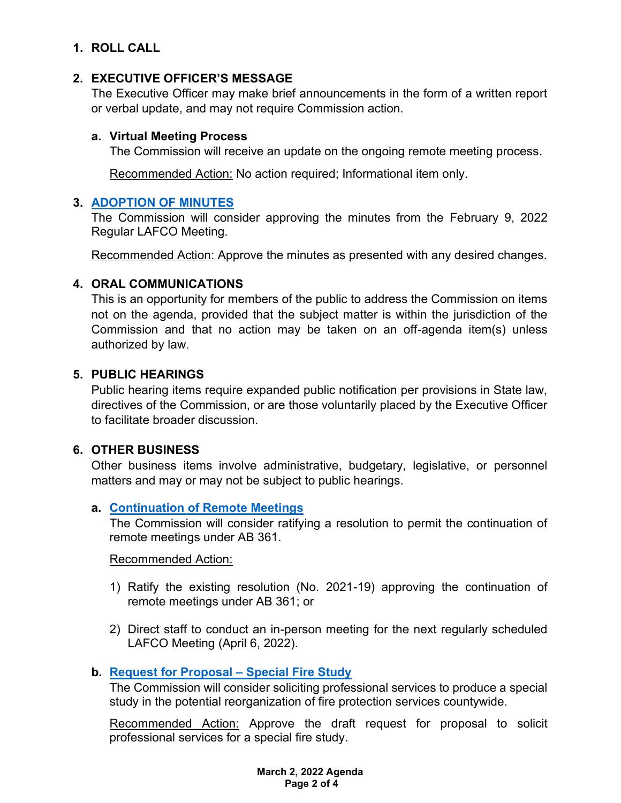# **1. ROLL CALL**

## **2. EXECUTIVE OFFICER'S MESSAGE**

The Executive Officer may make brief announcements in the form of a written report or verbal update, and may not require Commission action.

## **a. Virtual Meeting Process**

The Commission will receive an update on the ongoing remote meeting process.

Recommended Action: No action required; Informational item only.

## **3. [ADOPTION OF MINUTES](https://www.santacruzlafco.org/wp-content/uploads/2022/02/3.0-Draft-Minutes-Feb-9-Meeting.pdf)**

The Commission will consider approving the minutes from the February 9, 2022 Regular LAFCO Meeting.

Recommended Action: Approve the minutes as presented with any desired changes.

# **4. ORAL COMMUNICATIONS**

This is an opportunity for members of the public to address the Commission on items not on the agenda, provided that the subject matter is within the jurisdiction of the Commission and that no action may be taken on an off-agenda item(s) unless authorized by law.

## **5. PUBLIC HEARINGS**

Public hearing items require expanded public notification per provisions in State law, directives of the Commission, or are those voluntarily placed by the Executive Officer to facilitate broader discussion.

## **6. OTHER BUSINESS**

Other business items involve administrative, budgetary, legislative, or personnel matters and may or may not be subject to public hearings.

## **a. [Continuation of Remote Meetings](https://www.santacruzlafco.org/wp-content/uploads/2022/02/6a.0-AB-361-Update-Staff-Report_Hyperlink.pdf)**

The Commission will consider ratifying a resolution to permit the continuation of remote meetings under AB 361.

## Recommended Action:

- 1) Ratify the existing resolution (No. 2021-19) approving the continuation of remote meetings under AB 361; or
- 2) Direct staff to conduct an in-person meeting for the next regularly scheduled LAFCO Meeting (April 6, 2022).

# **b. [Request for Proposal –](https://www.santacruzlafco.org/wp-content/uploads/2022/02/6b.0-Fire-RFP-Staff-Report_Hyperlink.pdf) Special Fire Study**

The Commission will consider soliciting professional services to produce a special study in the potential reorganization of fire protection services countywide.

Recommended Action: Approve the draft request for proposal to solicit professional services for a special fire study.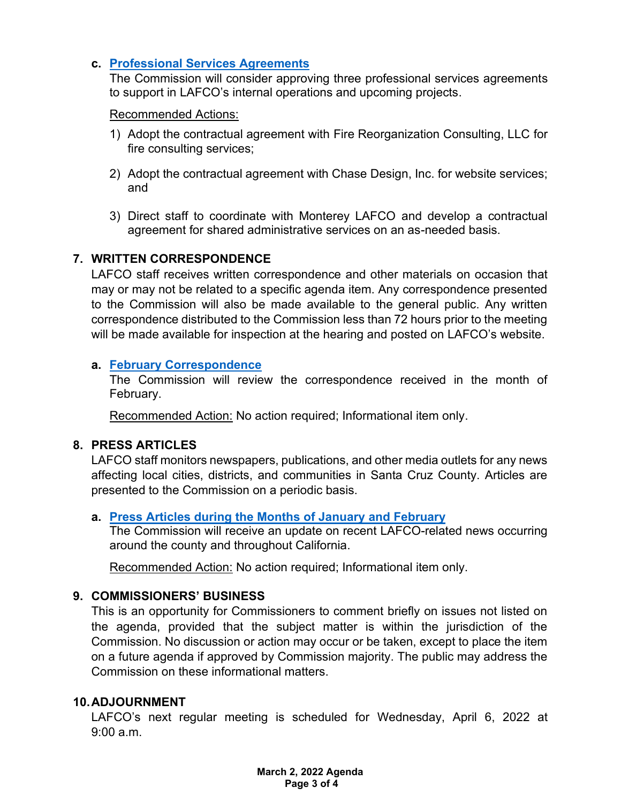## **c. [Professional Services Agreements](https://www.santacruzlafco.org/wp-content/uploads/2022/02/6c.0-Pro-Services-Staff-Report_Hyperlink.pdf)**

The Commission will consider approving three professional services agreements to support in LAFCO's internal operations and upcoming projects.

## Recommended Actions:

- 1) Adopt the contractual agreement with Fire Reorganization Consulting, LLC for fire consulting services;
- 2) Adopt the contractual agreement with Chase Design, Inc. for website services; and
- 3) Direct staff to coordinate with Monterey LAFCO and develop a contractual agreement for shared administrative services on an as-needed basis.

## **7. WRITTEN CORRESPONDENCE**

LAFCO staff receives written correspondence and other materials on occasion that may or may not be related to a specific agenda item. Any correspondence presented to the Commission will also be made available to the general public. Any written correspondence distributed to the Commission less than 72 hours prior to the meeting will be made available for inspection at the hearing and posted on LAFCO's website.

## **a. [February Correspondence](https://www.santacruzlafco.org/wp-content/uploads/2022/02/7a.0-Feb-Corresp-Staff-Report_Hyperlink.pdf)**

The Commission will review the correspondence received in the month of February.

Recommended Action: No action required; Informational item only.

## **8. PRESS ARTICLES**

LAFCO staff monitors newspapers, publications, and other media outlets for any news affecting local cities, districts, and communities in Santa Cruz County. Articles are presented to the Commission on a periodic basis.

## **a. [Press Articles during the Months](https://www.santacruzlafco.org/wp-content/uploads/2022/02/8a.0-Press-Articles-Staff-Report_Hyperlink.pdf) of January and February**

The Commission will receive an update on recent LAFCO-related news occurring around the county and throughout California.

Recommended Action: No action required; Informational item only.

## **9. COMMISSIONERS' BUSINESS**

This is an opportunity for Commissioners to comment briefly on issues not listed on the agenda, provided that the subject matter is within the jurisdiction of the Commission. No discussion or action may occur or be taken, except to place the item on a future agenda if approved by Commission majority. The public may address the Commission on these informational matters.

## **10.ADJOURNMENT**

LAFCO's next regular meeting is scheduled for Wednesday, April 6, 2022 at 9:00 a.m.